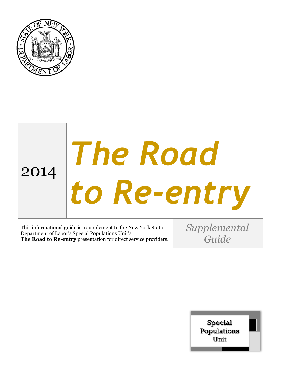

# 2014 *The Road to Re-entry*

This informational guide is a supplement to the New York State Department of Labor's Special Populations Unit's **The Road to Re-entry** presentation for direct service providers. *Supplemental Guide*

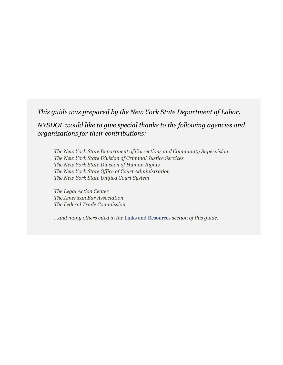*This guide was prepared by the New York State Department of Labor.*

*NYSDOL would like to give special thanks to the following agencies and organizations for their contributions:*

*The New York State Department of Corrections and Community Supervision The New York State Division of Criminal Justice Services The New York State Division of Human Rights The New York State Office of Court Administration The New York State Unified Court System*

*The Legal Action Center The American Bar Association The Federal Trade Commission*

*...and many others cited in the* [Links and Resources](#page-18-0) *section of this guide.*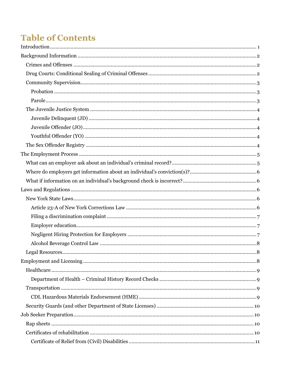# **Table of Contents**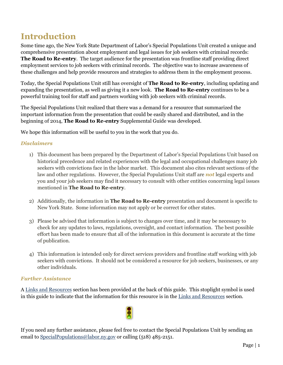# <span id="page-4-0"></span>**Introduction**

Some time ago, the New York State Department of Labor's Special Populations Unit created a unique and comprehensive presentation about employment and legal issues for job seekers with criminal records: **The Road to Re-entry**. The target audience for the presentation was frontline staff providing direct employment services to job seekers with criminal records. The objective was to increase awareness of these challenges and help provide resources and strategies to address them in the employment process.

Today, the Special Populations Unit still has oversight of **The Road to Re-entry**, including updating and expanding the presentation, as well as giving it a new look. **The Road to Re-entry** continues to be a powerful training tool for staff and partners working with job seekers with criminal records.

The Special Populations Unit realized that there was a demand for a resource that summarized the important information from the presentation that could be easily shared and distributed, and in the beginning of 2014, **The Road to Re-entry** Supplemental Guide was developed.

We hope this information will be useful to you in the work that you do.

#### *Disclaimers*

- 1) This document has been prepared by the Department of Labor's Special Populations Unit based on historical precedence and related experiences with the legal and occupational challenges many job seekers with convictions face in the labor market. This document also cites relevant sections of the law and other regulations. However, the Special Populations Unit staff are *not* legal experts and you and your job seekers may find it necessary to consult with other entities concerning legal issues mentioned in **The Road to Re-entry**.
- 2) Additionally, the information in **The Road to Re-entry** presentation and document is specific to New York State. Some information may not apply or be correct for other states.
- 3) Please be advised that information is subject to changes over time, and it may be necessary to check for any updates to laws, regulations, oversight, and contact information. The best possible effort has been made to ensure that all of the information in this document is accurate at the time of publication.
- 4) This information is intended only for direct services providers and frontline staff working with job seekers with convictions. It should not be considered a resource for job seekers, businesses, or any other individuals.

#### *Further Assistance*

A [Links and Resources](#page-18-0) section has been provided at the back of this guide. This stoplight symbol is used in this guide to indicate that the information for this resource is in the [Links and Resources](#page-18-0) section.



If you need any further assistance, please feel free to contact the Special Populations Unit by sending an email to [SpecialPopulations@labor.ny.gov](mailto:SpecialPopulations@labor.ny.gov) or calling (518) 485-2151.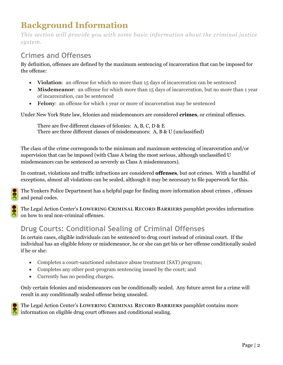# <span id="page-5-0"></span>**Background Information**

*This section will provide you with some basic information about the criminal justice system.*

## <span id="page-5-1"></span>**Crimes and Offenses**

By definition, offenses are defined by the maximum sentencing of incarceration that can be imposed for the offense:

- **Violation**: an offense for which no more than 15 days of incarceration can be sentenced
- **Misdemeanor**: an offense for which more than 15 days of incarceration, but no more than 1 year of incarceration, can be sentenced
- **Felony**: an offense for which 1 year or more of incarceration may be sentenced

Under New York State law, felonies and misdemeanors are considered **crimes**, or criminal offenses.

There are five different classes of felonies: A, B, C, D & E There are three different classes of misdemeanors: A, B & U (unclassified)

The class of the crime corresponds to the minimum and maximum sentencing of incarceration and/or supervision that can be imposed (with Class A being the most serious, although unclassified U misdemeanors can be sentenced as severely as Class A misdemeanors).

In contrast, violations and traffic infractions are considered **offenses**, but not crimes. With a handful of exceptions, almost all violations can be sealed, although it may be necessary to file paperwork for this.

The Yonkers Police Department has a helpful page for finding more information about crimes , offenses and penal codes.

The Legal Action Center's **LOWERING CRIMINAL RECORD BARRIERS** pamphlet provides information on how to seal non-criminal offenses.

## <span id="page-5-2"></span>**Drug Courts: Conditional Sealing of Criminal Offenses**

In certain cases, eligible individuals can be sentenced to drug court instead of criminal court. If the individual has an eligible felony or misdemeanor, he or she can get his or her offense conditionally sealed if he or she:

- Completes a court-sanctioned substance abuse treatment (SAT) program;
- Completes any other post-program sentencing issued by the court; and
- Currently has no pending charges.

Only certain felonies and misdemeanors can be conditionally sealed. Any future arrest for a crime will result in any conditionally sealed offense being unsealed.

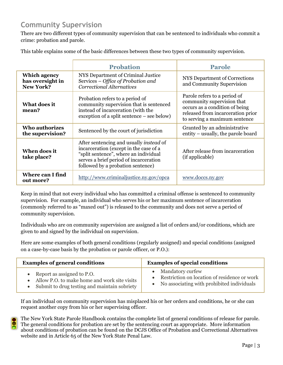## <span id="page-6-0"></span>**Community Supervision**

There are two different types of community supervision that can be sentenced to individuals who commit a crime: probation and parole.

Probation **Parole Which agency has oversight in New York?** NYS Department of Criminal Justice Services – *Office of Probation and Correctional Alternatives* NYS Department of Corrections and Community Supervision **What does it mean?** Probation refers to a period of community supervision that is sentenced instead of incarceration (with the exception of a split sentence – see below) Parole refers to a period of community supervision that occurs as a condition of being released from incarceration prior to serving a maximum sentence **Who authorizes the supervision?** Sentenced by the court of jurisdiction Granted by an administrative entity – usually, the parole bo entity – usually, the parole board **When does it take place?** After sentencing and usually *instead* of incarceration (except in the case of a "split sentence", where an individual serves a brief period of incarceration followed by a probation sentence) After release from incarceration (if applicable) **Where can I find out more?** <http://www.criminaljustice.ny.gov/opca> [www.doccs.ny.gov](http://www.doccs.ny.gov/)

<span id="page-6-2"></span><span id="page-6-1"></span>This table explains some of the basic differences between these two types of community supervision.

Keep in mind that not every individual who has committed a criminal offense is sentenced to community supervision. For example, an individual who serves his or her maximum sentence of incarceration (commonly referred to as "maxed out") is released to the community and does not serve a period of community supervision.

Individuals who are on community supervision are assigned a list of orders and/or conditions, which are given to and signed by the individual on supervision.

Here are some examples of both general conditions (regularly assigned) and special conditions (assigned on a case-by-case basis by the probation or parole officer, or P.O.):

| <b>Examples of general conditions</b>        | <b>Examples of special conditions</b>          |
|----------------------------------------------|------------------------------------------------|
| Report as assigned to P.O.                   | • Mandatory curfew                             |
| Allow P.O. to make home and work site visits | • Restriction on location of residence or work |
| Submit to drug testing and maintain sobriety | • No associating with prohibited individuals   |

If an individual on community supervision has misplaced his or her orders and conditions, he or she can request another copy from his or her supervising officer.

The New York State Parole Handbook contains the complete list of general conditions of release for parole. The general conditions for probation are set by the sentencing court as appropriate. More information about conditions of probation can be found on the DCJS Office of Probation and Correctional Alternatives website and in Article 65 of the New York State Penal Law.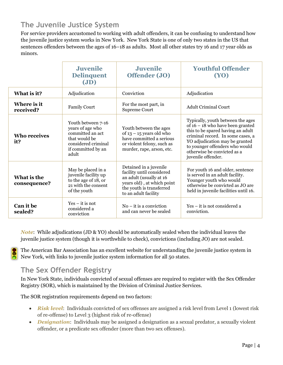## <span id="page-7-0"></span>**The Juvenile Justice System**

<span id="page-7-3"></span><span id="page-7-2"></span><span id="page-7-1"></span>For service providers accustomed to working with adult offenders, it can be confusing to understand how the juvenile justice system works in New York. New York State is one of only two states in the US that sentences offenders between the ages of 16–18 as adults. Most all other states try 16 and 17 year olds as minors.

|                             | <b>Juvenile</b><br><b>Delinquent</b><br>J(D)                                                                                      | <b>Juvenile</b><br>Offender (JO)                                                                                                                                 | <b>Youthful Offender</b><br><b>(YO)</b>                                                                                                                                                                                                                                    |
|-----------------------------|-----------------------------------------------------------------------------------------------------------------------------------|------------------------------------------------------------------------------------------------------------------------------------------------------------------|----------------------------------------------------------------------------------------------------------------------------------------------------------------------------------------------------------------------------------------------------------------------------|
| What is it?                 | Adjudication                                                                                                                      | Conviction                                                                                                                                                       | Adjudication                                                                                                                                                                                                                                                               |
| Where is it<br>received?    | <b>Family Court</b>                                                                                                               | For the most part, in<br><b>Supreme Court</b>                                                                                                                    | <b>Adult Criminal Court</b>                                                                                                                                                                                                                                                |
| <b>Who receives</b><br>it?  | Youth between 7-16<br>years of age who<br>committed an act<br>that would be<br>considered criminal<br>if committed by an<br>adult | Youth between the ages<br>of $13 - 15$ years old who<br>have committed a serious<br>or violent felony, such as<br>murder, rape, arson, etc.                      | Typically, youth between the ages<br>of $16 - 18$ who have been granted<br>this to be spared having an adult<br>criminal record. In some cases, a<br>YO adjudication may be granted<br>to younger offenders who would<br>otherwise be convicted as a<br>juvenile offender. |
| What is the<br>consequence? | May be placed in a<br>juvenile facility up<br>to the age of 18, or<br>21 with the consent<br>of the youth                         | Detained in a juvenile<br>facility until considered<br>an adult (usually at 16<br>years old), at which point<br>the youth is transferred<br>to an adult facility | For youth 16 and older, sentence<br>is served in an adult facility.<br>Younger youth who would<br>otherwise be convicted as JO are<br>held in juvenile facilities until 16.                                                                                                |
| Can it be<br>sealed?        | $Yes - it$ is not<br>considered a<br>conviction                                                                                   | $No - it$ is a conviction<br>and can never be sealed                                                                                                             | Yes – it is not considered a<br>conviction.                                                                                                                                                                                                                                |

*Note*: While adjudications (JD & YO) should be automatically sealed when the individual leaves the juvenile justice system (though it is worthwhile to check), convictions (including JO) are not sealed.

The American Bar Association has an excellent website for understanding the juvenile justice system in New York, with links to juvenile justice system information for all 50 states.

## <span id="page-7-4"></span>**The Sex Offender Registry**

In New York State, individuals convicted of sexual offenses are required to register with the Sex Offender Registry (SOR), which is maintained by the Division of Criminal Justice Services.

The SOR registration requirements depend on two factors:

- *Risk level*: Individuals convicted of sex offenses are assigned a risk level from Level 1 (lowest risk of re-offense) to Level 3 (highest risk of re-offense)
- *Designation*: Individuals may be assigned a designation as a sexual predator, a sexually violent offender, or a predicate sex offender (more than two sex offenses).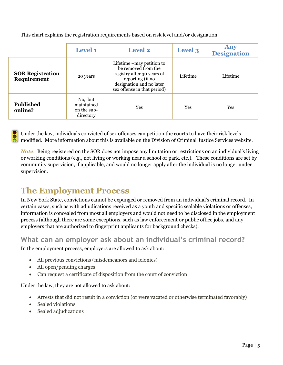|                                        | <b>Level 1</b>                                    | <b>Level 2</b>                                                                                                                                                 | Level 3  | Any<br><b>Designation</b> |
|----------------------------------------|---------------------------------------------------|----------------------------------------------------------------------------------------------------------------------------------------------------------------|----------|---------------------------|
| <b>SOR Registration</b><br>Requirement | 20 years                                          | Lifetime – may petition to<br>be removed from the<br>registry after 30 years of<br>reporting (if no<br>designation and no later<br>sex offense in that period) | Lifetime | Lifetime                  |
| <b>Published</b><br>online?            | No, but<br>maintained<br>on the sub-<br>directory | Yes                                                                                                                                                            | Yes      | Yes                       |

This chart explains the registration requirements based on risk level and/or designation.

Under the law, individuals convicted of sex offenses can petition the courts to have their risk levels modified. More information about this is available on the Division of Criminal Justice Services website.

*Note*: Being registered on the SOR does not impose any limitation or restrictions on an individual's living or working conditions (e.g., not living or working near a school or park, etc.). These conditions are set by community supervision, if applicable, and would no longer apply after the individual is no longer under supervision.

# <span id="page-8-0"></span>**The Employment Process**

In New York State, convictions cannot be expunged or removed from an individual's criminal record. In certain cases, such as with adjudications received as a youth and specific sealable violations or offenses, information is concealed from most all employers and would not need to be disclosed in the employment process (although there are some exceptions, such as law enforcement or public office jobs, and any employers that are authorized to fingerprint applicants for background checks).

## <span id="page-8-1"></span>**What can an employer ask about an individual's criminal record?**

In the employment process, employers are allowed to ask about:

- All previous convictions (misdemeanors and felonies)
- All open/pending charges
- Can request a certificate of disposition from the court of conviction

Under the law, they are not allowed to ask about:

- Arrests that did not result in a conviction (or were vacated or otherwise terminated favorably)
- Sealed violations
- Sealed adjudications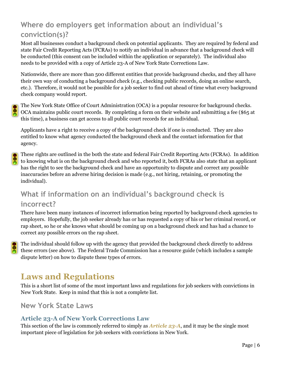## <span id="page-9-0"></span>**Where do employers get information about an individual's conviction(s)?**

Most all businesses conduct a background check on potential applicants. They are required by federal and state Fair Credit Reporting Acts (FCRAs) to notify an individual in advance that a background check will be conducted (this consent can be included within the application or separately). The individual also needs to be provided with a copy of Article 23-A of New York State Corrections Law.

Nationwide, there are more than 500 different entities that provide background checks, and they all have their own way of conducting a background check (e.g., checking public records, doing an online search, etc.). Therefore, it would not be possible for a job seeker to find out ahead of time what every background check company would report.

The New York State Office of Court Administration (OCA) is a popular resource for background checks. OCA maintains public court records. By completing a form on their website and submitting a fee (\$65 at this time), a business can get access to all public court records for an individual.

Applicants have a right to receive a copy of the background check if one is conducted. They are also entitled to know what agency conducted the background check and the contact information for that agency.

These rights are outlined in the both the state and federal Fair Credit Reporting Acts (FCRAs). In addition to knowing what is on the background check and who reported it, both FCRAs also state that an applicant has the right to see the background check and have an opportunity to dispute and correct any possible inaccuracies before an adverse hiring decision is made (e.g., not hiring, retaining, or promoting the individual).

## <span id="page-9-1"></span>**What if information on an individual's background check is incorrect?**

There have been many instances of incorrect information being reported by background check agencies to employers. Hopefully, the job seeker already has or has requested a copy of his or her criminal record, or rap sheet, so he or she knows what should be coming up on a background check and has had a chance to correct any possible errors on the rap sheet.

The individual should follow up with the agency that provided the background check directly to address these errors (see above). The Federal Trade Commission has a resource guide (which includes a sample dispute letter) on how to dispute these types of errors.

# <span id="page-9-2"></span>**Laws and Regulations**

This is a short list of some of the most important laws and regulations for job seekers with convictions in New York State. Keep in mind that this is not a complete list.

<span id="page-9-3"></span>**New York State Laws**

## <span id="page-9-4"></span>**Article 23-A of New York Corrections Law**

This section of the law is commonly referred to simply as *Article 23-A*, and it may be the single most important piece of legislation for job seekers with convictions in New York.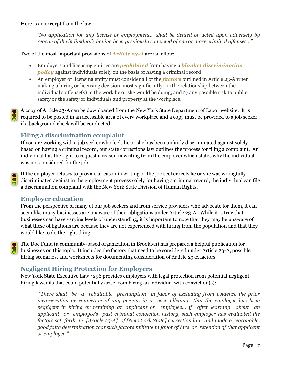Here is an excerpt from the law

*"No application for any license or employment… shall be denied or acted upon adversely by reason of the individual's having been previously convicted of one or more criminal offenses…"* 

Two of the most important provisions of *Article 23-A* are as follow:

- Employers and licensing entities are *prohibited* from having a *blanket discrimination policy* against individuals solely on the basis of having a criminal record
- An employer or licensing entity must consider all of the *factors* outlined in Article 23-A when making a hiring or licensing decision, most significantly: 1) the relationship between the individual's offense(s) to the work he or she would be doing; and 2) any possible risk to public safety or the safety or individuals and property at the workplace.

A copy of Article 23-A can be downloaded from the New York State Department of Labor website. It is required to be posted in an accessible area of every workplace and a copy must be provided to a job seeker if a background check will be conducted.

#### <span id="page-10-0"></span>**Filing a discrimination complaint**

If you are working with a job seeker who feels he or she has been unfairly discriminated against solely based on having a criminal record, our state corrections law outlines the process for filing a complaint. An individual has the right to request a reason in writing from the employer which states why the individual was not considered for the job.

If the employer refuses to provide a reason in writing or the job seeker feels he or she was wrongfully discriminated against in the employment process solely for having a criminal record, the individual can file a discrimination complaint with the New York State Division of Human Rights.

#### <span id="page-10-1"></span>**Employer education**

From the perspective of many of our job seekers and from service providers who advocate for them, it can seem like many businesses are unaware of their obligations under Article 23-A. While it is true that businesses can have varying levels of understanding, it is important to note that they may be unaware of what these obligations are because they are not experienced with hiring from the population and that they would like to do the right thing.

The Doe Fund (a community-based organization in Brooklyn) has prepared a helpful publication for businesses on this topic. It includes the factors that need to be considered under Article 23-A, possible hiring scenarios, and worksheets for documenting consideration of Article 23-A factors.

#### <span id="page-10-2"></span>**Negligent Hiring Protection for Employers**

New York State Executive Law §296 provides employers with legal protection from potential negligent hiring lawsuits that could potentially arise from hiring an individual with conviction(s):

*"There shall be a rebuttable presumption in favor of excluding from evidence the prior incarceration or conviction of any person, in a case alleging that the employer has been negligent in hiring or retaining an applicant or employee… if after learning about an applicant or employee's past criminal conviction history, such employer has evaluated the factors set forth in [Article 23-A] of [New York State] correction law, and made a reasonable, good faith determination that such factors militate in favor of hire or retention of that applicant or employee."*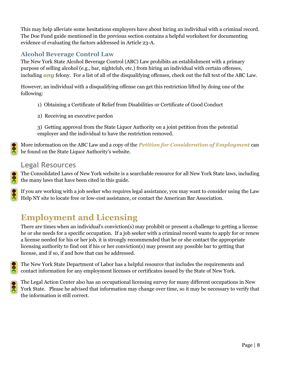This may help alleviate some hesitations employers have about hiring an individual with a criminal record. The Doe Fund guide mentioned in the previous section contains a helpful worksheet for documenting evidence of evaluating the factors addressed in Article 23-A.

### <span id="page-11-0"></span>**Alcohol Beverage Control Law**

The New York State Alcohol Beverage Control (ABC) Law prohibits an establishment with a primary purpose of selling alcohol (e.g., bar, nightclub, etc.) from hiring an individual with certain offenses, including *any* felony. For a list of all of the disqualifying offenses, check out the full text of the ABC Law.

However, an individual with a disqualifying offense can get this restriction lifted by doing one of the following:

- 1) Obtaining a Certificate of Relief from Disabilities or Certificate of Good Conduct
- 2) Receiving an executive pardon

3) Getting approval from the State Liquor Authority on a joint petition from the potential employer and the individual to have the restriction removed.

More information on the ABC Law and a copy of the *Petition for Consideration of Employment* can be found on the State Liquor Authority's website.

## <span id="page-11-1"></span>**Legal Resources**

The Consolidated Laws of New York website is a searchable resource for all New York State laws, including the many laws that have been cited in this guide.

If you are working with a job seeker who requires legal assistance, you may want to consider using the Law Help NY site to locate free or low-cost assistance, or contact the American Bar Association.

# <span id="page-11-2"></span>**Employment and Licensing**

There are times when an individual's conviction(s) may prohibit or present a challenge to getting a license he or she needs for a specific occupation. If a job seeker with a criminal record wants to apply for or renew a license needed for his or her job, it is strongly recommended that he or she contact the appropriate licensing authority to find out if his or her conviction(s) may present any possible bar to getting that license, and if so, if and how that can be addressed.

The New York State Department of Labor has a helpful resource that includes the requirements and contact information for any employment licenses or certificates issued by the State of New York.

The Legal Action Center also has an occupational licensing survey for many different occupations in New York State. Please be advised that information may change over time, so it may be necessary to verify that the information is still correct.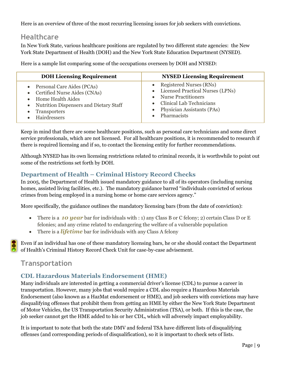Here is an overview of three of the most recurring licensing issues for job seekers with convictions.

## <span id="page-12-0"></span>**Healthcare**

In New York State, various healthcare positions are regulated by two different state agencies: the New York State Department of Health (DOH) and the New York State Education Department (NYSED).

Here is a sample list comparing some of the occupations overseen by DOH and NYSED:

| <b>DOH Licensing Requirement</b>         | <b>NYSED Licensing Requirement</b> |
|------------------------------------------|------------------------------------|
| • Personal Care Aides (PCAs)             | • Registered Nurses (RNs)          |
| • Certified Nurse Aides (CNAs)           | • Licensed Practical Nurses (LPNs) |
| • Home Health Aides                      | • Nurse Practitioners              |
| • Nutrition Dispensers and Dietary Staff | • Clinical Lab Technicians         |
| • Transporters                           | • Physician Assistants (PAs)       |
| Hairdressers                             | • Pharmacists                      |

Keep in mind that there are some healthcare positions, such as personal care technicians and some direct service professionals, which are not licensed. For all healthcare positions, it is recommended to research if there is required licensing and if so, to contact the licensing entity for further recommendations.

Although NYSED has its own licensing restrictions related to criminal records, it is worthwhile to point out some of the restrictions set forth by DOH.

## <span id="page-12-1"></span>**Department of Health – Criminal History Record Checks**

In 2005, the Department of Health issued mandatory guidance to all of its operators (including nursing homes, assisted living facilities, etc.). The mandatory guidance barred "individuals convicted of serious crimes from being employed in a nursing home or home care services agency."

More specifically, the guidance outlines the mandatory licensing bars (from the date of conviction):

- There is a **10 year** bar for individuals with : 1) any Class B or C felony; 2) certain Class D or E felonies; and any crime related to endangering the welfare of a vulnerable population
- There is a *lifetime* bar for individuals with any Class A felony

Even if an individual has one of these mandatory licensing bars, he or she should contact the Department of Health's Criminal History Record Check Unit for case-by-case advisement.

## <span id="page-12-2"></span>**Transportation**

## <span id="page-12-3"></span>**CDL Hazardous Materials Endorsement (HME)**

Many individuals are interested in getting a commercial driver's license (CDL) to pursue a career in transportation. However, many jobs that would require a CDL also require a Hazardous Materials Endorsement (also known as a HazMat endorsement or HME), and job seekers with convictions may have disqualifying offenses that prohibit them from getting an HME by either the New York State Department of Motor Vehicles, the US Transportation Security Administration (TSA), or both. If this is the case, the job seeker cannot get the HME added to his or her CDL, which will adversely impact employability.

It is important to note that both the state DMV and federal TSA have different lists of disqualifying offenses (and corresponding periods of disqualification), so it is important to check sets of lists.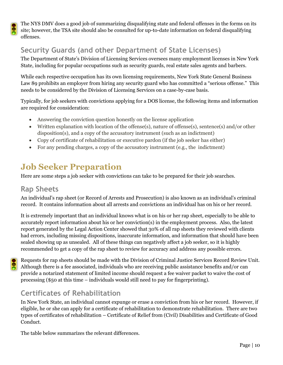The NYS DMV does a good job of summarizing disqualifying state and federal offenses in the forms on its site; however, the TSA site should also be consulted for up-to-date information on federal disqualifying offenses.

# <span id="page-13-0"></span>**Security Guards (and other Department of State Licenses)**

The Department of State's Division of Licensing Services oversees many employment licenses in New York State, including for popular occupations such as security guards, real estate sales agents and barbers.

While each respective occupation has its own licensing requirements, New York State General Business Law 89 prohibits an employer from hiring any security guard who has committed a "serious offense." This needs to be considered by the Division of Licensing Services on a case-by-case basis.

Typically, for job seekers with convictions applying for a DOS license, the following items and information are required for consideration:

- Answering the conviction question honestly on the license application
- Written explanation with location of the offense(s), nature of offense(s), sentence(s) and/or other disposition(s), and a copy of the accusatory instrument (such as an indictment)
- Copy of certificate of rehabilitation or executive pardon (if the job seeker has either)
- For any pending charges, a copy of the accusatory instrument (e.g., the indictment)

# <span id="page-13-1"></span>**Job Seeker Preparation**

Here are some steps a job seeker with convictions can take to be prepared for their job searches.

## <span id="page-13-2"></span>**Rap Sheets**

An individual's rap sheet (or Record of Arrests and Prosecution) is also known as an individual's criminal record. It contains information about all arrests and convictions an individual has on his or her record.

It is extremely important that an individual knows what is on his or her rap sheet, especially to be able to accurately report information about his or her conviction(s) in the employment process. Also, the latest report generated by the Legal Action Center showed that 30% of all rap sheets they reviewed with clients had errors, including missing dispositions, inaccurate information, and information that should have been sealed showing up as unsealed. All of these things can negatively affect a job seeker, so it is highly recommended to get a copy of the rap sheet to review for accuracy and address any possible errors.

Requests for rap sheets should be made with the Division of Criminal Justice Services Record Review Unit. Although there is a fee associated, individuals who are receiving public assistance benefits and/or can provide a notarized statement of limited income should request a fee waiver packet to waive the cost of processing (\$50 at this time – individuals would still need to pay for fingerprinting).

## <span id="page-13-3"></span>**Certificates of Rehabilitation**

In New York State, an individual cannot expunge or erase a conviction from his or her record. However, if eligible, he or she can apply for a certificate of rehabilitation to demonstrate rehabilitation. There are two types of certificates of rehabilitation – Certificate of Relief from (Civil) Disabilities and Certificate of Good Conduct.

The table below summarizes the relevant differences.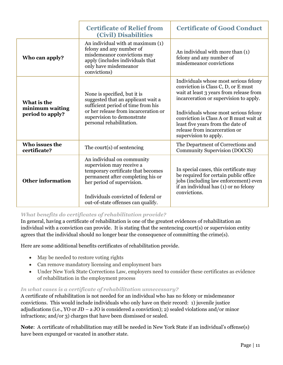<span id="page-14-1"></span><span id="page-14-0"></span>

|                                                    | <b>Certificate of Relief from</b><br><b>(Civil) Disabilities</b>                                                                                                                                                                              | <b>Certificate of Good Conduct</b>                                                                                                                                                                                                                                                                                                                   |
|----------------------------------------------------|-----------------------------------------------------------------------------------------------------------------------------------------------------------------------------------------------------------------------------------------------|------------------------------------------------------------------------------------------------------------------------------------------------------------------------------------------------------------------------------------------------------------------------------------------------------------------------------------------------------|
| Who can apply?                                     | An individual with at maximum (1)<br>felony and any number of<br>misdemeanor convictions may<br>apply (includes individuals that<br>only have misdemeanor<br>convictions)                                                                     | An individual with more than (1)<br>felony and any number of<br>misdemeanor convictions                                                                                                                                                                                                                                                              |
| What is the<br>minimum waiting<br>period to apply? | None is specified, but it is<br>suggested that an applicant wait a<br>sufficient period of time from his<br>or her release from incarceration or<br>supervision to demonstrate<br>personal rehabilitation.                                    | Individuals whose most serious felony<br>conviction is Class C, D, or E must<br>wait at least 3 years from release from<br>incarceration or supervision to apply.<br>Individuals whose most serious felony<br>conviction is Class A or B must wait at<br>least five years from the date of<br>release from incarceration or<br>supervision to apply. |
| Who issues the<br>certificate?                     | The court(s) of sentencing                                                                                                                                                                                                                    | The Department of Corrections and<br><b>Community Supervision (DOCCS)</b>                                                                                                                                                                                                                                                                            |
| <b>Other information</b>                           | An individual on community<br>supervision may receive a<br>temporary certificate that becomes<br>permanent after completing his or<br>her period of supervision.<br>Individuals convicted of federal or<br>out-of-state offenses can qualify. | In special cases, this certificate may<br>be required for certain public office<br>jobs (including law enforcement) even<br>if an individual has (1) or no felony<br>convictions.                                                                                                                                                                    |

#### *What benefits do certificates of rehabilitation provide?*

In general, having a certificate of rehabilitation is one of the greatest evidences of rehabilitation an individual with a conviction can provide. It is stating that the sentencing court(s) or supervision entity agrees that the individual should no longer bear the consequence of committing the crime(s).

Here are some additional benefits certificates of rehabilitation provide.

- May be needed to restore voting rights
- Can remove mandatory licensing and employment bars
- Under New York State Corrections Law, employers need to consider these certificates as evidence of rehabilitation in the employment process

#### *In what cases is a certificate of rehabilitation unnecessary?*

A certificate of rehabilitation is not needed for an individual who has no felony or misdemeanor convictions. This would include individuals who only have on their record: 1) juvenile justice adjudications (i.e., YO or JD – a JO is considered a conviction); 2) sealed violations and/or minor infractions; and/or 3) charges that have been dismissed or sealed.

**Note**: A certificate of rehabilitation may still be needed in New York State if an individual's offense(s) have been expunged or vacated in another state.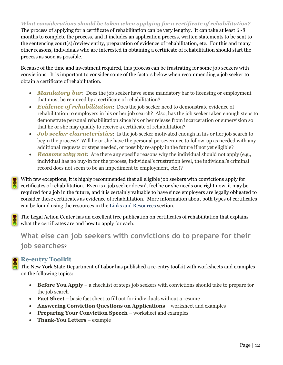#### *What considerations should be taken when applying for a certificate of rehabilitation?*

The process of applying for a certificate of rehabilitation can be very lengthy. It can take at least 6 -8 months to complete the process, and it includes an application process, written statements to be sent to the sentencing court(s)/review entity, preparation of evidence of rehabilitation, etc. For this and many other reasons, individuals who are interested in obtaining a certificate of rehabilitation should start the process as soon as possible.

Because of the time and investment required, this process can be frustrating for some job seekers with convictions. It is important to consider some of the factors below when recommending a job seeker to obtain a certificate of rehabilitation.

- **Mandatory bar:** Does the job seeker have some mandatory bar to licensing or employment that must be removed by a certificate of rehabilitation?
- *Evidence of rehabilitation*: Does the job seeker need to demonstrate evidence of rehabilitation to employers in his or her job search? Also, has the job seeker taken enough steps to demonstrate personal rehabilitation since his or her release from incarceration or supervision so that he or she may qualify to receive a certificate of rehabilitation?
- *Job seeker characteristics*: Is the job seeker motivated enough in his or her job search to begin the process? Will he or she have the personal perseverance to follow-up as needed with any additional requests or steps needed, or possibly re-apply in the future if not yet eligible?
- **Reasons why not:** Are there any specific reasons why the individual should not apply (e.g., individual has no buy-in for the process, individual's frustration level, the individual's criminal record does not seem to be an impediment to employment, etc.)?

With few exceptions, it is highly recommended that all eligible job seekers with convictions apply for certificates of rehabilitation. Even is a job seeker doesn't feel he or she needs one right now, it may be required for a job in the future, and it is certainly valuable to have since employers are legally obligated to consider these certificates as evidence of rehabilitation. More information about both types of certificates can be found using the resources in the [Links and Resources](#page-18-0) section.

The Legal Action Center has an excellent free publication on certificates of rehabilitation that explains The Legal Action Center has an encoder of the certificates are and how to apply for each.

<span id="page-15-0"></span>**What else can job seekers with convictions do to prepare for their job searches**?

#### <span id="page-15-1"></span>**Re-entry Toolkit**

The New York State Department of Labor has published a re-entry toolkit with worksheets and examples on the following topics:

- **Before You Apply** a checklist of steps job seekers with convictions should take to prepare for the job search
- **Fact Sheet** basic fact sheet to fill out for individuals without a resume
- **Answering Conviction Questions on Applications** worksheet and examples
- **Preparing Your Conviction Speech** worksheet and examples
- <span id="page-15-2"></span>**Thank-You Letters** – example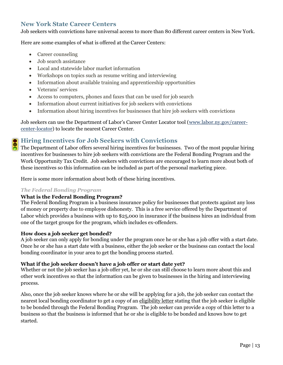#### **New York State Career Centers**

Job seekers with convictions have universal access to more than 80 different career centers in New York.

Here are some examples of what is offered at the Career Centers:

- Career counseling
- Job search assistance
- Local and statewide labor market information
- Workshops on topics such as resume writing and interviewing
- Information about available training and apprenticeship opportunities
- Veterans' services
- Access to computers, phones and faxes that can be used for job search
- Information about current initiatives for job seekers with convictions
- Information about hiring incentives for businesses that hire job seekers with convictions

Job seekers can use the Department of Labor's Career Center Locator tool ([www.labor.ny.gov/career](http://www.labor.ny.gov/career-center-locator)[center-locator\)](http://www.labor.ny.gov/career-center-locator) to locate the nearest Career Center.

## <span id="page-16-0"></span>**• Hiring Incentives for Job Seekers with Convictions**

The Department of Labor offers several hiring incentives for businesses. Two of the most popular hiring incentives for businesses to hire job seekers with convictions are the Federal Bonding Program and the Work Opportunity Tax Credit. Job seekers with convictions are encouraged to learn more about both of these incentives so this information can be included as part of the personal marketing piece.

Here is some more information about both of these hiring incentives.

#### *The Federal Bonding Program*

#### **What is the Federal Bonding Program?**

The Federal Bonding Program is a business insurance policy for businesses that protects against any loss of money or property due to employee dishonesty. This is a free service offered by the Department of Labor which provides a business with up to \$25,000 in insurance if the business hires an individual from one of the target groups for the program, which includes ex-offenders.

#### **How does a job seeker get bonded?**

A job seeker can only apply for bonding under the program once he or she has a job offer with a start date. Once he or she has a start date with a business, either the job seeker or the business can contact the local bonding coordinator in your area to get the bonding process started.

#### **What if the job seeker doesn't have a job offer or start date yet?**

Whether or not the job seeker has a job offer yet, he or she can still choose to learn more about this and other work incentives so that the information can be given to businesses in the hiring and interviewing process.

Also, once the job seeker knows where he or she will be applying for a job, the job seeker can contact the nearest local bonding coordinator to get a copy of an eligibility letter stating that the job seeker is eligible to be bonded through the Federal Bonding Program. The job seeker can provide a copy of this letter to a business so that the business is informed that he or she is eligible to be bonded and knows how to get started.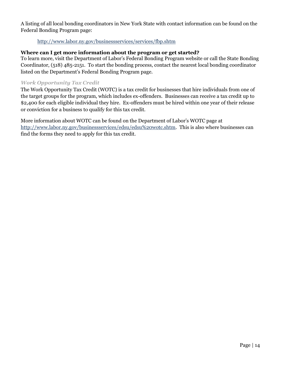A listing of all local bonding coordinators in New York State with contact information can be found on the Federal Bonding Program page:

#### <http://www.labor.ny.gov/businessservices/services/fbp.shtm>

#### **Where can I get more information about the program or get started?**

To learn more, visit the Department of Labor's Federal Bonding Program website or call the State Bonding Coordinator, (518) 485-2151. To start the bonding process, contact the nearest local bonding coordinator listed on the Department's Federal Bonding Program page.

#### *Work Opportunity Tax Credit*

The Work Opportunity Tax Credit (WOTC) is a tax credit for businesses that hire individuals from one of the target groups for the program, which includes ex-offenders. Businesses can receive a tax credit up to \$2,400 for each eligible individual they hire. Ex-offenders must be hired within one year of their release or conviction for a business to qualify for this tax credit.

More information about WOTC can be found on the Department of Labor's WOTC page at [http://www.labor.ny.gov/businessservices/edsu/edsu%20wotc.shtm.](http://www.labor.ny.gov/businessservices/edsu/edsu%20wotc.shtm) This is also where businesses can find the forms they need to apply for this tax credit.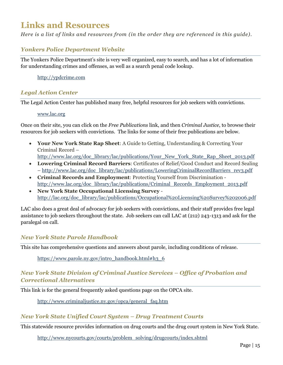# <span id="page-18-0"></span>**Links and Resources**

*Here is a list of links and resources from (in the order they are referenced in this guide).*

#### *Yonkers Police Department Website*

The Yonkers Police Department's site is very well organized, easy to search, and has a lot of information for understanding crimes and offenses, as well as a search penal code lookup.

#### [http://ypdcrime.com](http://ypdcrime.com/)

#### *Legal Action Center*

The Legal Action Center has published many free, helpful resources for job seekers with convictions.

#### [www.lac.org](http://www.lac.org/)

Once on their site, you can click on the *Free Publications* link, and then *Criminal Justice*, to browse their resources for job seekers with convictions. The links for some of their free publications are below.

 **Your New York State Rap Sheet**: A Guide to Getting, Understanding & Correcting Your Criminal Record –

[http://www.lac.org/doc\\_library/lac/publications/Your\\_New\\_York\\_State\\_Rap\\_Sheet\\_2013.pdf](http://www.lac.org/doc_library/lac/publications/Your_New_York_State_Rap_Sheet_2013.pdf)

- **Lowering Criminal Record Barriers**: Certificates of Relief/Good Conduct and Record Sealing – [http://www.lac.org/doc\\_library/lac/publications/LoweringCriminalRecordBarriers\\_rev3.pdf](http://www.lac.org/doc_library/lac/publications/LoweringCriminalRecordBarriers_rev3.pdf)
- **Criminal Records and Employment**: Protecting Yourself from Discrimination [http://www.lac.org/doc\\_library/lac/publications/Criminal\\_Records\\_Employment\\_2013.pdf](http://www.lac.org/doc_library/lac/publications/Criminal_Records_Employment_2013.pdf)
- **New York State Occupational Licensing Survey** [http://lac.org/doc\\_library/lac/publications/Occupational%20Licensing%20Survey%202006.pdf](http://lac.org/doc_library/lac/publications/Occupational%20Licensing%20Survey%202006.pdf)

LAC also does a great deal of advocacy for job seekers with convictions, and their staff provides free legal assistance to job seekers throughout the state. Job seekers can call LAC at (212) 243-1313 and ask for the paralegal on call.

#### *New York State Parole Handbook*

This site has comprehensive questions and answers about parole, including conditions of release.

[https://www.parole.ny.gov/intro\\_handbook.html#h3\\_6](https://www.parole.ny.gov/intro_handbook.html#h3_6)

#### *New York State Division of Criminal Justice Services – Office of Probation and Correctional Alternatives*

This link is for the general frequently asked questions page on the OPCA site.

[http://www.criminaljustice.ny.gov/opca/general\\_faq.htm](http://www.criminaljustice.ny.gov/opca/general_faq.htm)

#### *New York State Unified Court System – Drug Treatment Courts*

This statewide resource provides information on drug courts and the drug court system in New York State.

[http://www.nycourts.gov/courts/problem\\_solving/drugcourts/index.shtml](http://www.nycourts.gov/courts/problem_solving/drugcourts/index.shtml)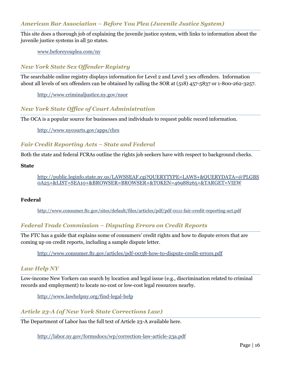#### *American Bar Association – Before You Plea (Juvenile Justice System)*

This site does a thorough job of explaining the juvenile justice system, with links to information about the juvenile justice systems in all 50 states.

[www.beforeyouplea.com/ny](http://www.beforeyouplea.com/ny)

#### *New York State Sex Offender Registry*

The searchable online registry displays information for Level 2 and Level 3 sex offenders. Information about all levels of sex offenders can be obtained by calling the SOR at (518) 457-5837 or 1-800-262-3257.

[http://www.criminaljustice.ny.gov/nsor](http://www.criminaljustice.ny.gov/nsor/)

#### *New York State Office of Court Administration*

The OCA is a popular source for businesses and individuals to request public record information.

<http://www.nycourts.gov/apps/chrs>

#### *Fair Credit Reporting Acts – State and Federal*

Both the state and federal FCRAs outline the rights job seekers have with respect to background checks.

**State**

[http://public.leginfo.state.ny.us/LAWSSEAF.cgi?QUERYTYPE=LAWS+&QUERYDATA=@PLGBS](http://public.leginfo.state.ny.us/LAWSSEAF.cgi?QUERYTYPE=LAWS+&QUERYDATA=@PLGBS0A25+&LIST=SEA10+&BROWSER=BROWSER+&TOKEN=46988265+&TARGET=VIEW) [0A25+&LIST=SEA10+&BROWSER=BROWSER+&TOKEN=46988265+&TARGET=VIEW](http://public.leginfo.state.ny.us/LAWSSEAF.cgi?QUERYTYPE=LAWS+&QUERYDATA=@PLGBS0A25+&LIST=SEA10+&BROWSER=BROWSER+&TOKEN=46988265+&TARGET=VIEW)

#### **Federal**

<http://www.consumer.ftc.gov/sites/default/files/articles/pdf/pdf-0111-fair-credit-reporting-act.pdf>

#### *Federal Trade Commission – Disputing Errors on Credit Reports*

The FTC has a guide that explains some of consumers' credit rights and how to dispute errors that are coming up on credit reports, including a sample dispute letter.

<http://www.consumer.ftc.gov/articles/pdf-0038-how-to-dispute-credit-errors.pdf>

#### *Law Help NY*

Low-income New Yorkers can search by location and legal issue (e.g., discrimination related to criminal records and employment) to locate no-cost or low-cost legal resources nearby.

<http://www.lawhelpny.org/find-legal-help>

#### *Article 23-A (of New York State Corrections Law)*

The Department of Labor has the full text of Article 23-A available here.

<http://labor.ny.gov/formsdocs/wp/correction-law-article-23a.pdf>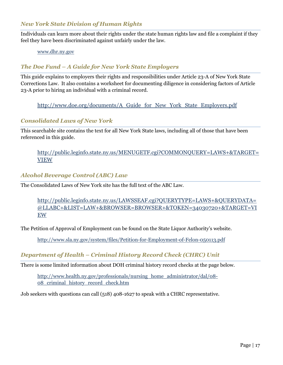#### *New York State Division of Human Rights*

Individuals can learn more about their rights under the state human rights law and file a complaint if they feel they have been discriminated against unfairly under the law.

[www.dhr.ny.gov](http://www.dhr.ny.gov/)

#### *The Doe Fund – A Guide for New York State Employers*

This guide explains to employers their rights and responsibilities under Article 23-A of New York State Corrections Law. It also contains a worksheet for documenting diligence in considering factors of Article 23-A prior to hiring an individual with a criminal record.

[http://www.doe.org/documents/A\\_Guide\\_for\\_New\\_York\\_State\\_Employers.pdf](http://www.doe.org/documents/A_Guide_for_New_York_State_Employers.pdf)

#### *Consolidated Laws of New York*

This searchable site contains the text for all New York State laws, including all of those that have been referenced in this guide.

[http://public.leginfo.state.ny.us/MENUGETF.cgi?COMMONQUERY=LAWS+&TARGET=](http://public.leginfo.state.ny.us/MENUGETF.cgi?COMMONQUERY=LAWS+&TARGET=VIEW) [VIEW](http://public.leginfo.state.ny.us/MENUGETF.cgi?COMMONQUERY=LAWS+&TARGET=VIEW)

#### *Alcohol Beverage Control (ABC) Law*

The Consolidated Laws of New York site has the full text of the ABC Law.

[http://public.leginfo.state.ny.us/LAWSSEAF.cgi?QUERYTYPE=LAWS+&QUERYDATA=](http://public.leginfo.state.ny.us/LAWSSEAF.cgi?QUERYTYPE=LAWS+&QUERYDATA=@LLABC+&LIST=LAW+&BROWSER=BROWSER+&TOKEN=34030720+&TARGET=VIEW) [@LLABC+&LIST=LAW+&BROWSER=BROWSER+&TOKEN=34030720+&TARGET=VI](http://public.leginfo.state.ny.us/LAWSSEAF.cgi?QUERYTYPE=LAWS+&QUERYDATA=@LLABC+&LIST=LAW+&BROWSER=BROWSER+&TOKEN=34030720+&TARGET=VIEW) [EW](http://public.leginfo.state.ny.us/LAWSSEAF.cgi?QUERYTYPE=LAWS+&QUERYDATA=@LLABC+&LIST=LAW+&BROWSER=BROWSER+&TOKEN=34030720+&TARGET=VIEW)

The Petition of Approval of Employment can be found on the State Liquor Authority's website.

<http://www.sla.ny.gov/system/files/Petition-for-Employment-of-Felon-050113.pdf>

#### *Department of Health – Criminal History Record Check (CHRC) Unit*

There is some limited information about DOH criminal history record checks at the page below.

[http://www.health.ny.gov/professionals/nursing\\_home\\_administrator/dal/08-](http://www.health.ny.gov/professionals/nursing_home_administrator/dal/08-08_criminal_history_record_check.htm) [08\\_criminal\\_history\\_record\\_check.htm](http://www.health.ny.gov/professionals/nursing_home_administrator/dal/08-08_criminal_history_record_check.htm)

Job seekers with questions can call (518) 408-1627 to speak with a CHRC representative.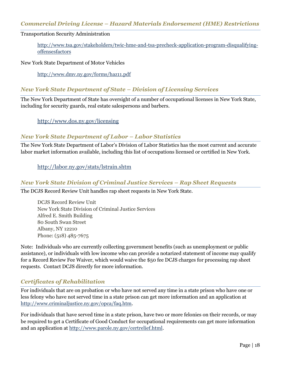#### *Commercial Driving License – Hazard Materials Endorsement (HME) Restrictions*

#### Transportation Security Administration

[http://www.tsa.gov/stakeholders/twic-hme-and-tsa-precheck-application-program-disqualifying](http://www.tsa.gov/stakeholders/twic-hme-and-tsa-precheck-application-program-disqualifying-offensesfactors)[offensesfactors](http://www.tsa.gov/stakeholders/twic-hme-and-tsa-precheck-application-program-disqualifying-offensesfactors)

#### New York State Department of Motor Vehicles

<http://www.dmv.ny.gov/forms/haz11.pdf>

#### *New York State Department of State – Division of Licensing Services*

The New York Department of State has oversight of a number of occupational licenses in New York State, including for security guards, real estate salespersons and barbers.

<http://www.dos.ny.gov/licensing>

#### *New York State Department of Labor – Labor Statistics*

The New York State Department of Labor's Division of Labor Statistics has the most current and accurate labor market information available, including this list of occupations licensed or certified in New York.

<http://labor.ny.gov/stats/lstrain.shtm>

#### *New York State Division of Criminal Justice Services – Rap Sheet Requests*

The DCJS Record Review Unit handles rap sheet requests in New York State.

DCJS Record Review Unit New York State Division of Criminal Justice Services Alfred E. Smith Building 80 South Swan Street Albany, NY 12210 Phone: (518) 485-7675

Note: Individuals who are currently collecting government benefits (such as unemployment or public assistance), or individuals with low income who can provide a notarized statement of income may qualify for a Record Review Fee Waiver, which would waive the \$50 fee DCJS charges for processing rap sheet requests. Contact DCJS directly for more information.

#### *Certificates of Rehabilitation*

For individuals that are on probation or who have not served any time in a state prison who have one or less felony who have not served time in a state prison can get more information and an application at [http://www.criminaljustice.ny.gov/opca/faq.htm.](http://www.criminaljustice.ny.gov/opca/faq.htm)

For individuals that have served time in a state prison, have two or more felonies on their records, or may be required to get a Certificate of Good Conduct for occupational requirements can get more information and an application at [http://www.parole.ny.gov/certrelief.html.](http://www.parole.ny.gov/certrelief.html)